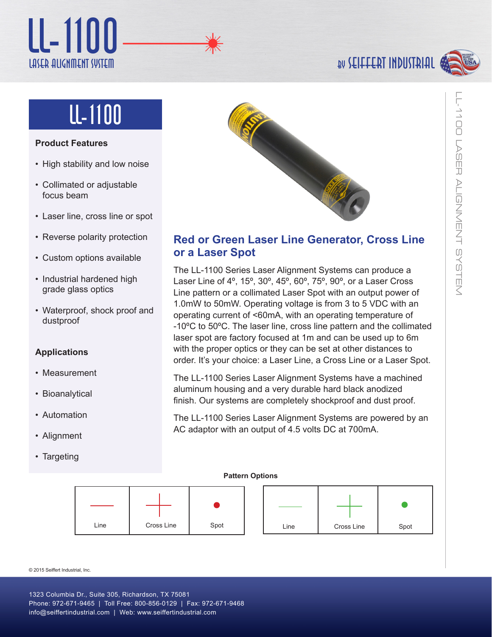## Laser Alignment System LL-1100

## by seiffert industrial



# lL-1100

## **Product Features**

- High stability and low noise
- Collimated or adjustable focus beam
- Laser line, cross line or spot
- Reverse polarity protection
- Custom options available
- Industrial hardened high grade glass optics
- Waterproof, shock proof and dustproof

## **Applications**

- Measurement
- Bioanalytical
- Automation
- Alignment
- Targeting



## **Red or Green Laser Line Generator, Cross Line or a Laser Spot**

The LL-1100 Series Laser Alignment Systems can produce a Laser Line of 4º, 15º, 30º, 45º, 60º, 75º, 90º, or a Laser Cross Line pattern or a collimated Laser Spot with an output power of 1.0mW to 50mW. Operating voltage is from 3 to 5 VDC with an operating current of <60mA, with an operating temperature of -10ºC to 50ºC. The laser line, cross line pattern and the collimated laser spot are factory focused at 1m and can be used up to 6m with the proper optics or they can be set at other distances to order. It's your choice: a Laser Line, a Cross Line or a Laser Spot.

The LL-1100 Series Laser Alignment Systems have a machined aluminum housing and a very durable hard black anodized finish. Our systems are completely shockproof and dust proof.

The LL-1100 Series Laser Alignment Systems are powered by an AC adaptor with an output of 4.5 volts DC at 700mA.

#### **Pattern Options**



© 2015 Seiffert Industrial, Inc.